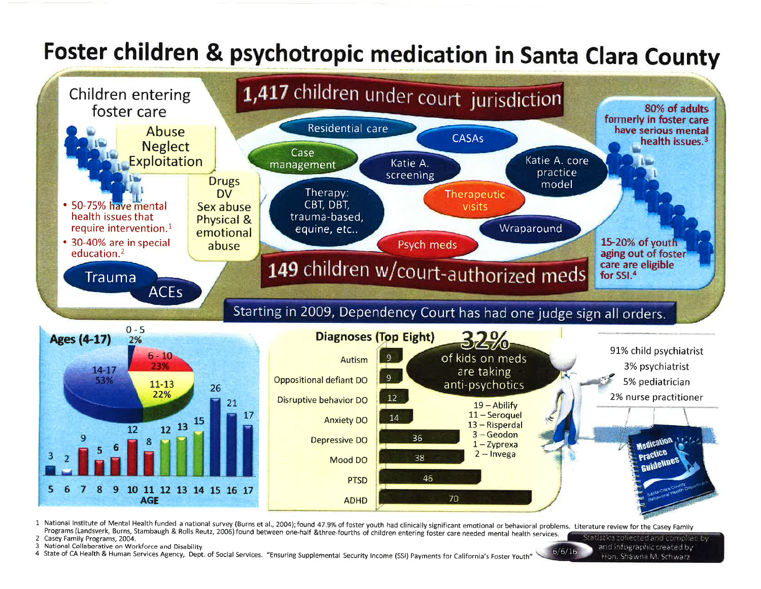## Foster children & psychotropic medication in Santa Clara County



1 National Institute of Mental Health funded a national survey (Burns et al., 2004); found 47.9% of foster youth had clinically significant emotional or behavioral problems. Literature review for the Casey Family Programs (Landsverk, Burns, Stambaugh & Rolls Reutz, 2006) found between one-half &three-fourths of children entering foster care needed mental health services. Statistics collected and compiled by

2 Casey Family Programs, 2004.

3 National Collaborative on Workforce and Disability

4 State of CA Health & Human Services Agency, Dept. of Social Services. "Ensuring Supplemental Security Income (SSI) Payments for California's Foster Youth

and infographic created by Hon Shawna M. Schwarz

 $6/6/16$